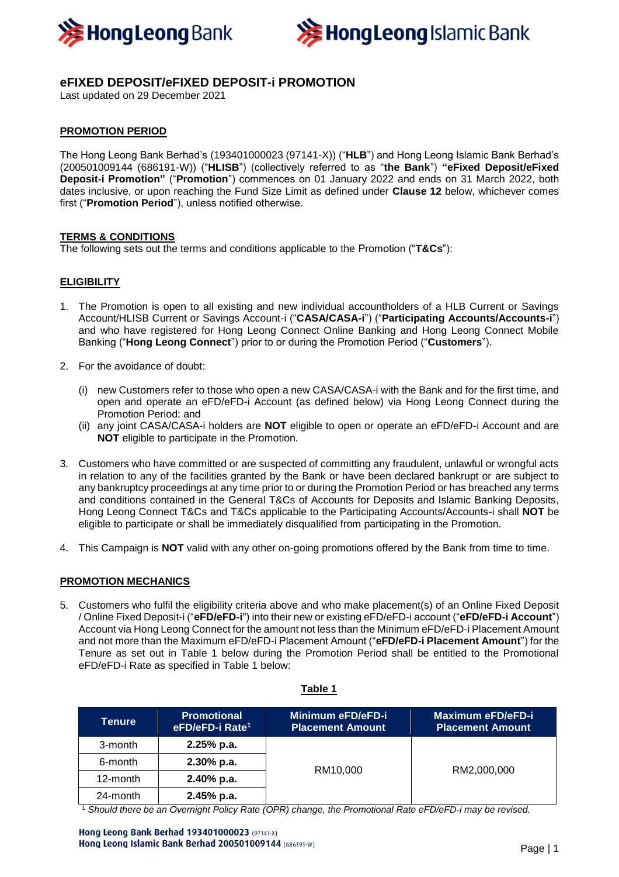



# **eFIXED DEPOSIT/eFIXED DEPOSIT-i PROMOTION**

Last updated on 29 December 2021

## **PROMOTION PERIOD**

The Hong Leong Bank Berhad's (193401000023 (97141-X)) ("**HLB**") and Hong Leong Islamic Bank Berhad's (200501009144 (686191-W)) ("**HLISB**") (collectively referred to as "**the Bank**") **"eFixed Deposit/eFixed Deposit-i Promotion"** ("**Promotion**") commences on 01 January 2022 and ends on 31 March 2022, both dates inclusive, or upon reaching the Fund Size Limit as defined under **Clause 12** below, whichever comes first ("**Promotion Period**"), unless notified otherwise.

#### **TERMS & CONDITIONS**

The following sets out the terms and conditions applicable to the Promotion ("**T&Cs**"):

## **ELIGIBILITY**

- 1. The Promotion is open to all existing and new individual accountholders of a HLB Current or Savings Account/HLISB Current or Savings Account-i ("**CASA/CASA-i**") ("**Participating Accounts/Accounts-i**") and who have registered for Hong Leong Connect Online Banking and Hong Leong Connect Mobile Banking ("**Hong Leong Connect**") prior to or during the Promotion Period ("**Customers**").
- 2. For the avoidance of doubt:
	- (i) new Customers refer to those who open a new CASA/CASA-i with the Bank and for the first time, and open and operate an eFD/eFD-i Account (as defined below) via Hong Leong Connect during the Promotion Period; and
	- (ii) any joint CASA/CASA-i holders are **NOT** eligible to open or operate an eFD/eFD-i Account and are **NOT** eligible to participate in the Promotion.
- 3. Customers who have committed or are suspected of committing any fraudulent, unlawful or wrongful acts in relation to any of the facilities granted by the Bank or have been declared bankrupt or are subject to any bankruptcy proceedings at any time prior to or during the Promotion Period or has breached any terms and conditions contained in the General T&Cs of Accounts for Deposits and Islamic Banking Deposits, Hong Leong Connect T&Cs and T&Cs applicable to the Participating Accounts/Accounts-i shall **NOT** be eligible to participate or shall be immediately disqualified from participating in the Promotion.
- 4. This Campaign is **NOT** valid with any other on-going promotions offered by the Bank from time to time.

#### **PROMOTION MECHANICS**

5. Customers who fulfil the eligibility criteria above and who make placement(s) of an Online Fixed Deposit / Online Fixed Deposit-i ("**eFD/eFD-i**") into their new or existing eFD/eFD-i account ("**eFD/eFD-i Account**") Account via Hong Leong Connect for the amount not less than the Minimum eFD/eFD-i Placement Amount and not more than the Maximum eFD/eFD-i Placement Amount ("**eFD/eFD-i Placement Amount**") for the Tenure as set out in Table 1 below during the Promotion Period shall be entitled to the Promotional eFD/eFD-i Rate as specified in Table 1 below:

| Tenure   | <b>Promotional</b><br>eFD/eFD-i Rate <sup>1</sup> | Minimum eFD/eFD-i<br><b>Placement Amount</b> | Maximum eFD/eFD-i<br><b>Placement Amount</b> |
|----------|---------------------------------------------------|----------------------------------------------|----------------------------------------------|
| 3-month  | $2.25%$ p.a.                                      | RM10,000                                     | RM2,000,000                                  |
| 6-month  | $2.30\%$ p.a.                                     |                                              |                                              |
| 12-month | $2.40\%$ p.a.                                     |                                              |                                              |
| 24-month | $2.45%$ p.a.                                      |                                              |                                              |

**Table 1**

<sup>1</sup> *Should there be an Overnight Policy Rate (OPR) change, the Promotional Rate eFD/eFD-i may be revised.*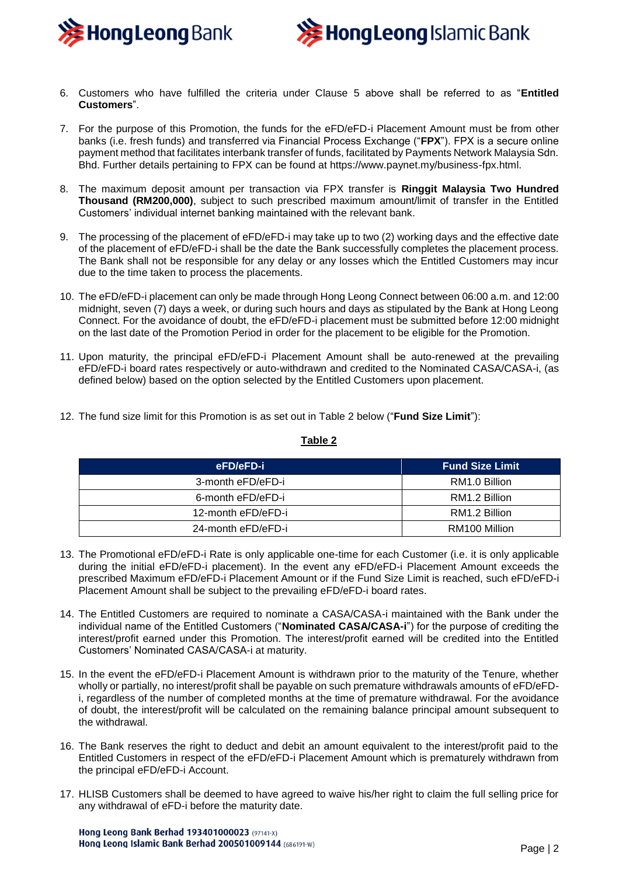



- 6. Customers who have fulfilled the criteria under Clause 5 above shall be referred to as "**Entitled Customers**".
- 7. For the purpose of this Promotion, the funds for the eFD/eFD-i Placement Amount must be from other banks (i.e. fresh funds) and transferred via Financial Process Exchange ("**FPX**"). FPX is a secure online payment method that facilitates interbank transfer of funds, facilitated by Payments Network Malaysia Sdn. Bhd. Further details pertaining to FPX can be found at https://www.paynet.my/business-fpx.html.
- 8. The maximum deposit amount per transaction via FPX transfer is **Ringgit Malaysia Two Hundred Thousand (RM200,000)**, subject to such prescribed maximum amount/limit of transfer in the Entitled Customers' individual internet banking maintained with the relevant bank.
- 9. The processing of the placement of eFD/eFD-i may take up to two (2) working days and the effective date of the placement of eFD/eFD-i shall be the date the Bank successfully completes the placement process. The Bank shall not be responsible for any delay or any losses which the Entitled Customers may incur due to the time taken to process the placements.
- 10. The eFD/eFD-i placement can only be made through Hong Leong Connect between 06:00 a.m. and 12:00 midnight, seven (7) days a week, or during such hours and days as stipulated by the Bank at Hong Leong Connect. For the avoidance of doubt, the eFD/eFD-i placement must be submitted before 12:00 midnight on the last date of the Promotion Period in order for the placement to be eligible for the Promotion.
- 11. Upon maturity, the principal eFD/eFD-i Placement Amount shall be auto-renewed at the prevailing eFD/eFD-i board rates respectively or auto-withdrawn and credited to the Nominated CASA/CASA-i, (as defined below) based on the option selected by the Entitled Customers upon placement.
- 12. The fund size limit for this Promotion is as set out in Table 2 below ("**Fund Size Limit**"):

#### **Table 2**

| eFD/eFD-i          |               |
|--------------------|---------------|
| 3-month eFD/eFD-i  | RM1.0 Billion |
| 6-month eFD/eFD-i  | RM1.2 Billion |
| 12-month eFD/eFD-i | RM1.2 Billion |
| 24-month eFD/eFD-i | RM100 Million |

- 13. The Promotional eFD/eFD-i Rate is only applicable one-time for each Customer (i.e. it is only applicable during the initial eFD/eFD-i placement). In the event any eFD/eFD-i Placement Amount exceeds the prescribed Maximum eFD/eFD-i Placement Amount or if the Fund Size Limit is reached, such eFD/eFD-i Placement Amount shall be subject to the prevailing eFD/eFD-i board rates.
- 14. The Entitled Customers are required to nominate a CASA/CASA-i maintained with the Bank under the individual name of the Entitled Customers ("**Nominated CASA/CASA-i**") for the purpose of crediting the interest/profit earned under this Promotion. The interest/profit earned will be credited into the Entitled Customers' Nominated CASA/CASA-i at maturity.
- 15. In the event the eFD/eFD-i Placement Amount is withdrawn prior to the maturity of the Tenure, whether wholly or partially, no interest/profit shall be payable on such premature withdrawals amounts of eFD/eFDi, regardless of the number of completed months at the time of premature withdrawal. For the avoidance of doubt, the interest/profit will be calculated on the remaining balance principal amount subsequent to the withdrawal.
- 16. The Bank reserves the right to deduct and debit an amount equivalent to the interest/profit paid to the Entitled Customers in respect of the eFD/eFD-i Placement Amount which is prematurely withdrawn from the principal eFD/eFD-i Account.
- 17. HLISB Customers shall be deemed to have agreed to waive his/her right to claim the full selling price for any withdrawal of eFD-i before the maturity date.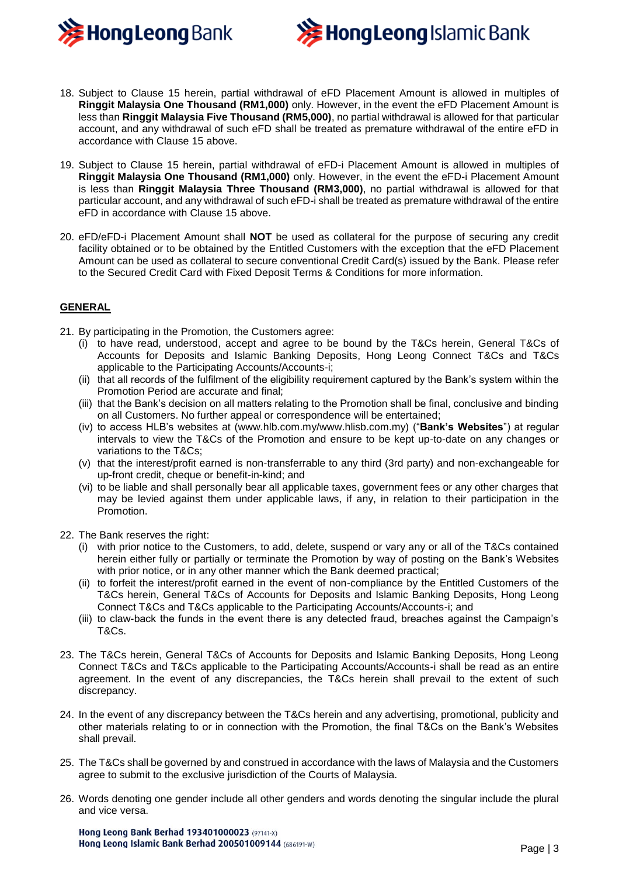



- 18. Subject to Clause 15 herein, partial withdrawal of eFD Placement Amount is allowed in multiples of **Ringgit Malaysia One Thousand (RM1,000)** only. However, in the event the eFD Placement Amount is less than **Ringgit Malaysia Five Thousand (RM5,000)**, no partial withdrawal is allowed for that particular account, and any withdrawal of such eFD shall be treated as premature withdrawal of the entire eFD in accordance with Clause 15 above.
- 19. Subject to Clause 15 herein, partial withdrawal of eFD-i Placement Amount is allowed in multiples of **Ringgit Malaysia One Thousand (RM1,000)** only. However, in the event the eFD-i Placement Amount is less than **Ringgit Malaysia Three Thousand (RM3,000)**, no partial withdrawal is allowed for that particular account, and any withdrawal of such eFD-i shall be treated as premature withdrawal of the entire eFD in accordance with Clause 15 above.
- 20. eFD/eFD-i Placement Amount shall **NOT** be used as collateral for the purpose of securing any credit facility obtained or to be obtained by the Entitled Customers with the exception that the eFD Placement Amount can be used as collateral to secure conventional Credit Card(s) issued by the Bank. Please refer to the Secured Credit Card with Fixed Deposit Terms & Conditions for more information.

#### **GENERAL**

- 21. By participating in the Promotion, the Customers agree:
	- (i) to have read, understood, accept and agree to be bound by the T&Cs herein, General T&Cs of Accounts for Deposits and Islamic Banking Deposits, Hong Leong Connect T&Cs and T&Cs applicable to the Participating Accounts/Accounts-i;
	- (ii) that all records of the fulfilment of the eligibility requirement captured by the Bank's system within the Promotion Period are accurate and final;
	- (iii) that the Bank's decision on all matters relating to the Promotion shall be final, conclusive and binding on all Customers. No further appeal or correspondence will be entertained;
	- (iv) to access HLB's websites at (www.hlb.com.my/www.hlisb.com.my) ("**Bank's Websites**") at regular intervals to view the T&Cs of the Promotion and ensure to be kept up-to-date on any changes or variations to the T&Cs;
	- (v) that the interest/profit earned is non-transferrable to any third (3rd party) and non-exchangeable for up-front credit, cheque or benefit-in-kind; and
	- (vi) to be liable and shall personally bear all applicable taxes, government fees or any other charges that may be levied against them under applicable laws, if any, in relation to their participation in the Promotion.
- 22. The Bank reserves the right:
	- (i) with prior notice to the Customers, to add, delete, suspend or vary any or all of the T&Cs contained herein either fully or partially or terminate the Promotion by way of posting on the Bank's Websites with prior notice, or in any other manner which the Bank deemed practical;
	- (ii) to forfeit the interest/profit earned in the event of non-compliance by the Entitled Customers of the T&Cs herein, General T&Cs of Accounts for Deposits and Islamic Banking Deposits, Hong Leong Connect T&Cs and T&Cs applicable to the Participating Accounts/Accounts-i; and
	- (iii) to claw-back the funds in the event there is any detected fraud, breaches against the Campaign's T&Cs.
- 23. The T&Cs herein, General T&Cs of Accounts for Deposits and Islamic Banking Deposits, Hong Leong Connect T&Cs and T&Cs applicable to the Participating Accounts/Accounts-i shall be read as an entire agreement. In the event of any discrepancies, the T&Cs herein shall prevail to the extent of such discrepancy.
- 24. In the event of any discrepancy between the T&Cs herein and any advertising, promotional, publicity and other materials relating to or in connection with the Promotion, the final T&Cs on the Bank's Websites shall prevail.
- 25. The T&Cs shall be governed by and construed in accordance with the laws of Malaysia and the Customers agree to submit to the exclusive jurisdiction of the Courts of Malaysia.
- 26. Words denoting one gender include all other genders and words denoting the singular include the plural and vice versa.

Hong Leong Bank Berhad 193401000023 (97141-X) Hong Leong Islamic Bank Berhad 200501009144 (686191-W)